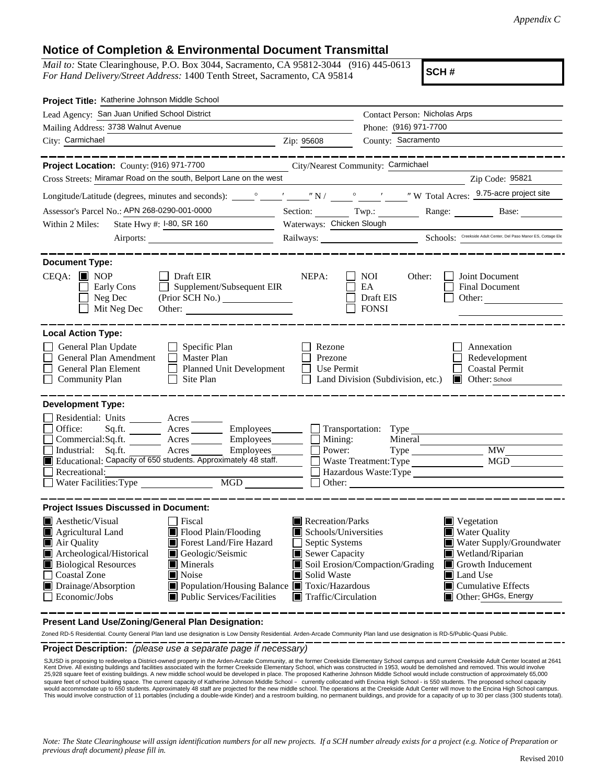## **Notice of Completion & Environmental Document Transmittal**

*Mail to:* State Clearinghouse, P.O. Box 3044, Sacramento, CA 95812-3044 (916) 445-0613 *For Hand Delivery/Street Address:* 1400 Tenth Street, Sacramento, CA 95814

**SCH #**

| Project Title: Katherine Johnson Middle School                                                                                                                                                                                                                                                                                                                                                                                                     |                                                                                                                                   |                                                                                                                                                                                                                                   |  |
|----------------------------------------------------------------------------------------------------------------------------------------------------------------------------------------------------------------------------------------------------------------------------------------------------------------------------------------------------------------------------------------------------------------------------------------------------|-----------------------------------------------------------------------------------------------------------------------------------|-----------------------------------------------------------------------------------------------------------------------------------------------------------------------------------------------------------------------------------|--|
| Lead Agency: San Juan Unified School District                                                                                                                                                                                                                                                                                                                                                                                                      |                                                                                                                                   | Contact Person: Nicholas Arps                                                                                                                                                                                                     |  |
| Mailing Address: 3738 Walnut Avenue                                                                                                                                                                                                                                                                                                                                                                                                                |                                                                                                                                   | Phone: (916) 971-7700                                                                                                                                                                                                             |  |
| City: Carmichael<br><b>Example 21 Section 21 Section 21 Section 21 Section 21 Section 21 Section 21 Section 21 Section 21 Section 21</b>                                                                                                                                                                                                                                                                                                           |                                                                                                                                   | County: Sacramento                                                                                                                                                                                                                |  |
| Project Location: County: (916) 971-7700 City/Nearest Community: Carmichael                                                                                                                                                                                                                                                                                                                                                                        |                                                                                                                                   |                                                                                                                                                                                                                                   |  |
| Cross Streets: Miramar Road on the south, Belport Lane on the west                                                                                                                                                                                                                                                                                                                                                                                 |                                                                                                                                   | Zip Code: 95821                                                                                                                                                                                                                   |  |
|                                                                                                                                                                                                                                                                                                                                                                                                                                                    |                                                                                                                                   |                                                                                                                                                                                                                                   |  |
| Assessor's Parcel No.: APN 268-0290-001-0000                                                                                                                                                                                                                                                                                                                                                                                                       |                                                                                                                                   | Section: Twp.: Twp.: Range: Base:                                                                                                                                                                                                 |  |
| State Hwy #: 1-80, SR 160<br>Within 2 Miles:                                                                                                                                                                                                                                                                                                                                                                                                       | Waterways: Chicken Slough                                                                                                         |                                                                                                                                                                                                                                   |  |
|                                                                                                                                                                                                                                                                                                                                                                                                                                                    |                                                                                                                                   | Railways: Schools: Creekside Adult Center, Del Paso Manor ES, Cottage Ele                                                                                                                                                         |  |
| <b>Document Type:</b>                                                                                                                                                                                                                                                                                                                                                                                                                              |                                                                                                                                   |                                                                                                                                                                                                                                   |  |
| $CEQA:$ MOP<br>$\Box$ Draft EIR<br>Early Cons<br>$\Box$ Supplement/Subsequent EIR<br>$\Box$ Neg Dec<br>$\Box$ Mit Neg Dec                                                                                                                                                                                                                                                                                                                          | NEPA:                                                                                                                             | NOI<br>Other:<br><b>Joint Document</b><br><b>Final Document</b><br>EA<br>Draft EIS<br>$\Box$ Other: $\Box$<br><b>FONSI</b>                                                                                                        |  |
| <b>Local Action Type:</b>                                                                                                                                                                                                                                                                                                                                                                                                                          |                                                                                                                                   |                                                                                                                                                                                                                                   |  |
| General Plan Update<br>$\Box$ Specific Plan<br>General Plan Amendment<br>$\Box$ Master Plan<br>Planned Unit Development<br>General Plan Element<br>$\Box$ Site Plan<br><b>Community Plan</b>                                                                                                                                                                                                                                                       | Rezone<br>Prezone<br>$\Box$ Use Permit                                                                                            | Annexation<br>Redevelopment<br>Coastal Permit<br>Land Division (Subdivision, etc.)<br>Other: School                                                                                                                               |  |
| <b>Development Type:</b><br>Residential: Units ________ Acres _______<br>Sq.ft. ________ Acres __________ Employees ________ __ Transportation: Type<br>Office:<br>Commercial:Sq.ft. <u>Acres</u> Acres Employees<br>Acres Employees<br>Industrial: Sq.ft.<br>Educational: Capacity of 650 students. Approximately 48 staff.<br>Recreational:                                                                                                      | Mining:<br>Power:<br>$\Box$ Other:                                                                                                | Mineral<br>Waste Treatment: Type<br>$\Box$ Hazardous Waste: Type                                                                                                                                                                  |  |
| <b>Project Issues Discussed in Document:</b><br><b>A</b> esthetic/Visual<br>  Fiscal<br>Flood Plain/Flooding<br>Agricultural Land<br>Forest Land/Fire Hazard<br>Air Quality<br>Archeological/Historical<br>Geologic/Seismic<br><b>Biological Resources</b><br>$\blacksquare$ Minerals<br><b>Coastal Zone</b><br><b>Noise</b><br>Drainage/Absorption<br>Population/Housing Balance Toxic/Hazardous<br>Economic/Jobs<br>■ Public Services/Facilities | Recreation/Parks<br>Schools/Universities<br>Septic Systems<br>Sewer Capacity<br>Solid Waste<br>$\blacksquare$ Traffic/Circulation | $\blacksquare$ Vegetation<br>Water Quality<br>Water Supply/Groundwater<br>Wetland/Riparian<br>Soil Erosion/Compaction/Grading<br>Growth Inducement<br><b>Land Use</b><br>$\blacksquare$ Cumulative Effects<br>Other: GHGs, Energy |  |

**Present Land Use/Zoning/General Plan Designation:**

Zoned RD-5 Residential. County General Plan land use designation is Low Density Residential. Arden-Arcade Community Plan land use designation is RD-5/Public-Quasi Public.

**Project Description:** *(please use a separate page if necessary)*

SJUSD is proposing to redevelop a District-owned property in the Arden-Arcade Community, at the former Creekside Elementary School campus and current Creekside Adult Center located at a<br>Kent Drive. All existing buildings a SJUSD is proposing to redevelop a District-owned property in the Arden-Arcade Community, at the former Creekside Elementary School campus and current Creekside Adult Center located at 2641 square feet of school building space. The current capacity of Katherine Johnson Middle School - currently collocated with Encina High School - is 550 students. The proposed school capacity<br>would accommodate up to 650 stude This would involve construction of 11 portables (including a double-wide Kinder) and a restroom building, no permanent buildings, and provide for a capacity of up to 30 per class (300 students total).

*Note: The State Clearinghouse will assign identification numbers for all new projects. If a SCH number already exists for a project (e.g. Notice of Preparation or previous draft document) please fill in.*